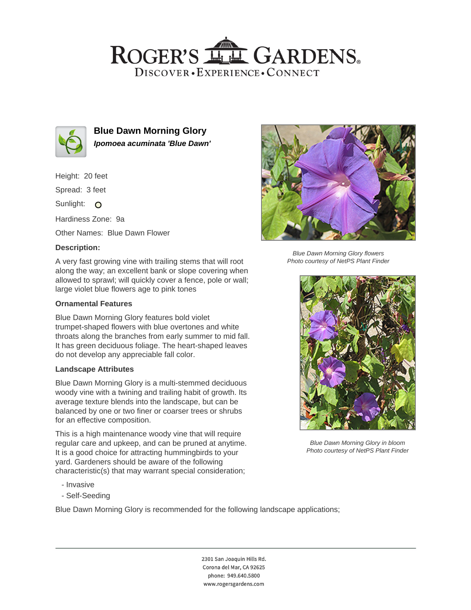## ROGER'S LL GARDENS. DISCOVER · EXPERIENCE · CONNECT



**Blue Dawn Morning Glory Ipomoea acuminata 'Blue Dawn'**

Height: 20 feet

Spread: 3 feet

Sunlight: O

Hardiness Zone: 9a

Other Names: Blue Dawn Flower

## **Description:**

A very fast growing vine with trailing stems that will root along the way; an excellent bank or slope covering when allowed to sprawl; will quickly cover a fence, pole or wall; large violet blue flowers age to pink tones

#### **Ornamental Features**

Blue Dawn Morning Glory features bold violet trumpet-shaped flowers with blue overtones and white throats along the branches from early summer to mid fall. It has green deciduous foliage. The heart-shaped leaves do not develop any appreciable fall color.

#### **Landscape Attributes**

Blue Dawn Morning Glory is a multi-stemmed deciduous woody vine with a twining and trailing habit of growth. Its average texture blends into the landscape, but can be balanced by one or two finer or coarser trees or shrubs for an effective composition.

This is a high maintenance woody vine that will require regular care and upkeep, and can be pruned at anytime. It is a good choice for attracting hummingbirds to your yard. Gardeners should be aware of the following characteristic(s) that may warrant special consideration;

- Invasive
- Self-Seeding

Blue Dawn Morning Glory is recommended for the following landscape applications;



Blue Dawn Morning Glory flowers Photo courtesy of NetPS Plant Finder



Blue Dawn Morning Glory in bloom Photo courtesy of NetPS Plant Finder

2301 San Joaquin Hills Rd. Corona del Mar, CA 92625 phone: 949.640.5800 www.rogersgardens.com